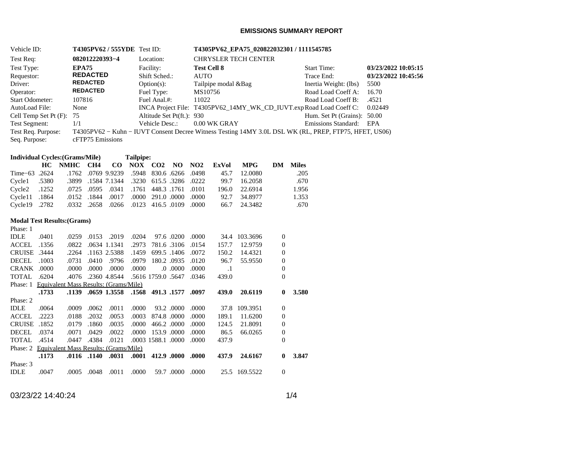### **EMISSIONS SUMMARY REPORT**

| Vehicle ID:                 | <b>T4305PV62 / 555YDE</b> Test ID: |                           | T4305PV62_EPA75_020822032301 / 1111545785                                                             |                             |                     |
|-----------------------------|------------------------------------|---------------------------|-------------------------------------------------------------------------------------------------------|-----------------------------|---------------------|
| Test Req:                   | 082012220393-4                     | Location:                 | <b>CHRYSLER TECH CENTER</b>                                                                           |                             |                     |
| Test Type:                  | EPA75                              | Facility:                 | <b>Test Cell 8</b>                                                                                    | <b>Start Time:</b>          | 03/23/2022 10:05:15 |
| Requestor:                  | <b>REDACTED</b>                    | Shift Sched.:             | <b>AUTO</b>                                                                                           | Trace End:                  | 03/23/2022 10:45:56 |
| Driver:                     | <b>REDACTED</b>                    | $Option(s)$ :             | Tailpipe modal & Bag                                                                                  | Inertia Weight: (lbs)       | 5500                |
| Operator:                   | <b>REDACTED</b>                    | Fuel Type:                | MS10756                                                                                               | Road Load Coeff A:          | 16.70               |
| <b>Start Odometer:</b>      | 107816                             | Fuel Anal.#:              | 11022                                                                                                 | Road Load Coeff B:          | .4521               |
| AutoLoad File:              | None                               |                           | INCA Project File: T4305PV62 14MY WK CD IUVT.exp Road Load Coeff C:                                   |                             | 0.02449             |
| Cell Temp Set Pt $(F)$ : 75 |                                    | Altitude Set Pt(ft.): 930 |                                                                                                       | Hum. Set Pt (Grains): 50.00 |                     |
| <b>Test Segment:</b>        | 1/1                                | Vehicle Desc.:            | 0.00 WK GRAY                                                                                          | Emissions Standard: EPA     |                     |
| Test Req. Purpose:          |                                    |                           | T4305PV62 - Kuhn - IUVT Consent Decree Witness Testing 14MY 3.0L DSL WK (RL, PREP, FTP75, HFET, US06) |                             |                     |
| Seq. Purpose:               | cFTP75 Emissions                   |                           |                                                                                                       |                             |                     |

## **Individual Cycles:(Grams/Mile) Tailpipe:**

|                                                                       |  |  |  |  | HC NMHC CH4 CO NOX CO2 NO NO2 ExVol MPG DM Miles |       |
|-----------------------------------------------------------------------|--|--|--|--|--------------------------------------------------|-------|
| Time-63 .2624 .1762 .0769 9.9239 .5948 830.6 .6266 .0498 45.7 12.0080 |  |  |  |  |                                                  | .205  |
| .3280 .3286 .0222 .3899 .1584 7.1344 .3230 615.5 .3286 .0222          |  |  |  |  | 99.7 16.2058                                     | .670  |
| 0101 0101 1761 1761 1761 025 0595 0.0595 0.0341                       |  |  |  |  | 196.0 22.6914                                    | 1.956 |
| 0000. 0000. 0.1910. 0000. 0.1844. 0.017. 0.000. 0.1864. Cycle11.      |  |  |  |  | 92.7 34.8977                                     | 1.353 |
| 0000. 0109 0123 416.5 0109. 0268 0268 0268. 2782                      |  |  |  |  | 66.7 24.3482                                     | .670  |

## **Modal Test Results:(Grams)**

| .0401                                 | .0259                         |               | .2019 | .0204                                                                 | 97.6.0200                             | .0000                       | 34.4      | 103.3696 | $\mathbf{0}$   |       |
|---------------------------------------|-------------------------------|---------------|-------|-----------------------------------------------------------------------|---------------------------------------|-----------------------------|-----------|----------|----------------|-------|
| .1356                                 | .0822                         |               |       | .2973                                                                 | 781.6 .3106                           | .0154                       | 157.7     | 12.9759  | $\mathbf{0}$   |       |
| .3444                                 | .2264                         |               |       | .1459                                                                 | 699.5 .1406                           | .0072                       | 150.2     | 14.4321  | $\mathbf{0}$   |       |
| .1003                                 | .0731                         | .0410         | .9796 | .0979                                                                 | 180.2 .0935                           | .0120                       | 96.7      | 55.9550  | $\mathbf{0}$   |       |
| .0000                                 | .0000                         | .0000.        | .0000 | .0000                                                                 | $.0000$ . 0.                          | .0000                       | $\cdot$ 1 |          | $\Omega$       |       |
| .6204                                 | .4076                         |               |       |                                                                       |                                       | .0346                       | 439.0     |          | $\overline{0}$ |       |
|                                       |                               |               |       |                                                                       |                                       |                             |           |          |                |       |
| .1733                                 | .1139                         |               |       |                                                                       | 491.3 .1577                           | .0097                       | 439.0     | 20.6119  | 0              | 3.580 |
|                                       |                               |               |       |                                                                       |                                       |                             |           |          |                |       |
|                                       |                               |               |       |                                                                       |                                       |                             |           |          |                |       |
| .0064                                 | .0009                         | .0062         | .0011 | .0000                                                                 | 93.2 .0000                            | .0000                       | 37.8      | 109.3951 | $\theta$       |       |
| .2223                                 | .0188                         | .2032         | .0053 | .0003                                                                 | 874.8.0000                            | .0000                       | 189.1     | 11.6200  | $\mathbf{0}$   |       |
| <b>CRUISE</b><br>.1852                | .0179                         | .1860         | .0035 | .0000                                                                 | 466.2 .0000                           | .0000                       | 124.5     | 21.8091  | $\theta$       |       |
| .0374                                 | .0071                         | .0429         | .0022 | .0000                                                                 | 153.9 .0000                           | .0000                       | 86.5      | 66.0265  | $\overline{0}$ |       |
| .4514                                 | .0447                         | .4384         | .0121 |                                                                       | .0003 1588.1 .0000                    | .0000                       | 437.9     |          | $\theta$       |       |
| Equivalent Mass Results: (Grams/Mile) |                               |               |       |                                                                       |                                       |                             |           |          |                |       |
| .1173                                 |                               | .0116. .0116. | .0031 | .0001                                                                 | 412.9 .0000                           | .0000                       | 437.9     | 24.6167  | 0              | 3.847 |
|                                       |                               |               |       |                                                                       |                                       |                             |           |          |                |       |
|                                       | <b>CRUISE</b><br><b>CRANK</b> |               |       | .0153<br>.0634 1.1341<br>.1163 2.5388<br>.2360 4.8544<br>.0659 1.3558 | Equivalent Mass Results: (Grams/Mile) | .5616 1759.0 .5647<br>.1568 |           |          |                |       |

03/23/22 14:40:24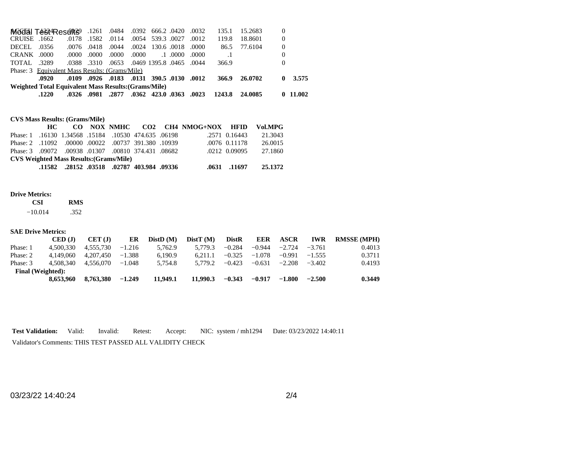|                   | .1220                                                |       |                   |       |       | .0023 0.0363 0.0362 0.0362 0.037. 0.0326. 0.0326.        |       | 1243.8 24.0085 |         |          | 0.11.002 |
|-------------------|------------------------------------------------------|-------|-------------------|-------|-------|----------------------------------------------------------|-------|----------------|---------|----------|----------|
|                   | Weighted Total Equivalent Mass Results: (Grams/Mile) |       |                   |       |       |                                                          |       |                |         |          |          |
|                   | .0920                                                |       |                   |       |       | .0109. 0130. 0131 390.5. 0130. 01012. 0109.              |       | 366.9          | 26.0702 | 0        | 3.575    |
|                   | Phase: 3 Equivalent Mass Results: (Grams/Mile)       |       |                   |       |       |                                                          |       |                |         |          |          |
| <b>TOTAL 3289</b> |                                                      |       |                   |       |       | .0388 .3310 .0653 .0469 .0395.8 .0465 .0388              |       | 366.9          |         | $\Omega$ |          |
| CRANK .0000       |                                                      | .0000 | .0000             | .0000 | .0000 | $.1 \cdot 0000$                                          | .0000 | $\cdot$ 1      |         | $\theta$ |          |
| DECEL .0356       |                                                      |       | .0076 .0418 .0044 |       |       | .0000 0018. 0018. 0000                                   |       | 86.5           | 77.6104 | $\theta$ |          |
| CRUISE .1662      |                                                      | .0178 | .1582.0114        |       |       | .0054 539.3 .0027 .0012                                  |       | 119.8          | 18.8601 | $\theta$ |          |
|                   |                                                      |       |                   |       |       | 0032 .0420 .0420 .0484 .0392 666.2 .0420 .0392 Microsoft |       | 135.1          | 15.2683 |          |          |

## **CVS Mass Results: (Grams/Mile)**

|                                                     | HC — |  |  |  |                                              |  | CO NOX NMHC CO2 CH4 NMOG+NOX HFID Vol.MPG |                 |         |
|-----------------------------------------------------|------|--|--|--|----------------------------------------------|--|-------------------------------------------|-----------------|---------|
| Phase: 1.16130 1.34568 .15184 .10530 474.635 .06198 |      |  |  |  |                                              |  |                                           | .2571 0.16443   | 21.3043 |
| Phase: 2 .11092 .00000 .00022 .00737 391.380 .10939 |      |  |  |  |                                              |  |                                           | $.0076$ 0.11178 | 26.0015 |
| Phase: 3 .09072 .00938 .01307 .00810 374.431 .08682 |      |  |  |  |                                              |  |                                           | .0212 0.09095   | 27.1860 |
| <b>CVS Weighted Mass Results: (Grams/Mile)</b>      |      |  |  |  |                                              |  |                                           |                 |         |
|                                                     |      |  |  |  | .11582. 28152. 03518. 02787. 403.984. 11582. |  |                                           | .0631 .11697    | 25.1372 |

### **Drive Metrics:**

| CSI       | <b>RMS</b> |
|-----------|------------|
| $-10.014$ | .352       |

| <b>SAE Drive Metrics:</b> |                    |           |          |          |          |              |            |             |            |                    |
|---------------------------|--------------------|-----------|----------|----------|----------|--------------|------------|-------------|------------|--------------------|
|                           | $\mathbf{CED}$ (J) | CET(J)    | ER       | DistD(M) | DistT(M) | <b>DistR</b> | <b>EER</b> | <b>ASCR</b> | <b>IWR</b> | <b>RMSSE</b> (MPH) |
| Phase: 1                  | 4.500.330          | 4.555.730 | $-1.216$ | 5.762.9  | 5.779.3  | $-0.284$     | $-0.944$   | $-2.724$    | $-3.761$   | 0.4013             |
| Phase: 2                  | 4.149.060          | 4.207.450 | $-1.388$ | 6.190.9  | 6.211.1  | $-0.325$     | $-1.078$   | $-0.991$    | $-1.555$   | 0.3711             |
| Phase: 3                  | 4.508.340          | 4.556.070 | $-1.048$ | 5.754.8  | 5.779.2  | $-0.423$     | $-0.631$   | $-2.208$    | $-3.402$   | 0.4193             |
| <b>Final</b> (Weighted):  |                    |           |          |          |          |              |            |             |            |                    |
|                           | 8.653.960          | 8,763,380 | $-1.249$ | 11.949.1 | 11.990.3 | $-0.343$     | $-0.917$   | $-1.800$    | $-2.500$   | 0.3449             |

**Test Validation:** Valid: Invalid: Retest: Accept: NIC: system / mh1294 Date: 03/23/2022 14:40:11 Validator's Comments: THIS TEST PASSED ALL VALIDITY CHECK

03/23/22 14:40:24 2/4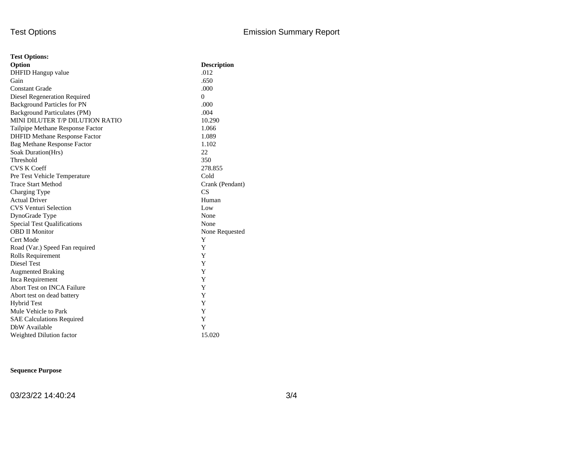| <b>Test Options:</b>                 |                    |
|--------------------------------------|--------------------|
| Option                               | <b>Description</b> |
| DHFID Hangup value                   | .012               |
| Gain                                 | .650               |
| <b>Constant Grade</b>                | .000               |
| Diesel Regeneration Required         | $\Omega$           |
| <b>Background Particles for PN</b>   | .000               |
| Background Particulates (PM)         | .004               |
| MINI DILUTER T/P DILUTION RATIO      | 10.290             |
| Tailpipe Methane Response Factor     | 1.066              |
| <b>DHFID Methane Response Factor</b> | 1.089              |
| <b>Bag Methane Response Factor</b>   | 1.102              |
| Soak Duration(Hrs)                   | 22                 |
| Threshold                            | 350                |
| <b>CVS K Coeff</b>                   | 278.855            |
| Pre Test Vehicle Temperature         | Cold               |
| <b>Trace Start Method</b>            | Crank (Pendant)    |
| Charging Type                        | CS                 |
| <b>Actual Driver</b>                 | Human              |
| <b>CVS Venturi Selection</b>         | Low                |
| DynoGrade Type                       | None               |
| <b>Special Test Qualifications</b>   | None               |
| <b>OBD II Monitor</b>                | None Requested     |
| Cert Mode                            | Y                  |
| Road (Var.) Speed Fan required       | Y                  |
| Rolls Requirement                    | Y                  |
| Diesel Test                          | Y                  |
| <b>Augmented Braking</b>             | Y                  |
| Inca Requirement                     | Y                  |
| <b>Abort Test on INCA Failure</b>    | Y                  |
| Abort test on dead battery           | Y                  |
| <b>Hybrid Test</b>                   | Y                  |
| Mule Vehicle to Park                 | Y                  |
| <b>SAE Calculations Required</b>     | Y                  |
| DbW Available                        | Y                  |
| Weighted Dilution factor             | 15.020             |

## **Sequence Purpose**